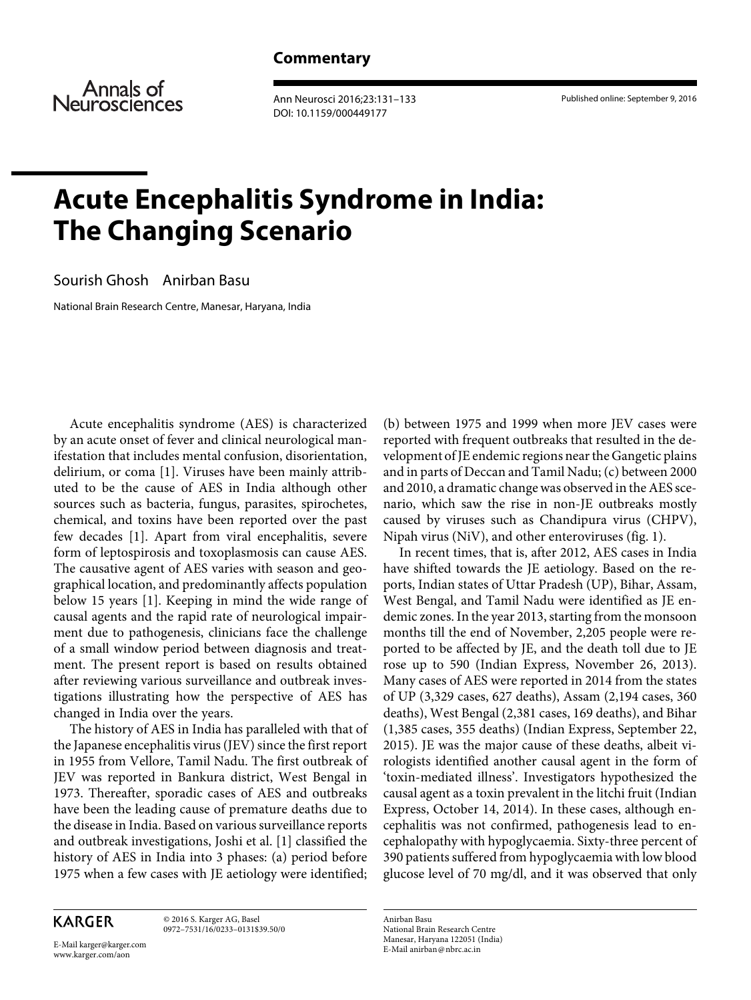Annals of Neurosciences

 Ann Neurosci 2016;23:131–133 DOI: 10.1159/000449177

Published online: September 9, 2016

## **Acute Encephalitis Syndrome in India: The Changing Scenario**

Sourish Ghosh Anirban Basu

National Brain Research Centre, Manesar, Haryana, India

 Acute encephalitis syndrome (AES) is characterized by an acute onset of fever and clinical neurological manifestation that includes mental confusion, disorientation, delirium, or coma [1]. Viruses have been mainly attributed to be the cause of AES in India although other sources such as bacteria, fungus, parasites, spirochetes, chemical, and toxins have been reported over the past few decades [1]. Apart from viral encephalitis, severe form of leptospirosis and toxoplasmosis can cause AES. The causative agent of AES varies with season and geographical location, and predominantly affects population below 15 years [1]. Keeping in mind the wide range of causal agents and the rapid rate of neurological impairment due to pathogenesis, clinicians face the challenge of a small window period between diagnosis and treatment. The present report is based on results obtained after reviewing various surveillance and outbreak investigations illustrating how the perspective of AES has changed in India over the years.

 The history of AES in India has paralleled with that of the Japanese encephalitis virus (JEV) since the first report in 1955 from Vellore, Tamil Nadu. The first outbreak of JEV was reported in Bankura district, West Bengal in 1973. Thereafter, sporadic cases of AES and outbreaks have been the leading cause of premature deaths due to the disease in India. Based on various surveillance reports and outbreak investigations, Joshi et al. [1] classified the history of AES in India into 3 phases: (a) period before 1975 when a few cases with JE aetiology were identified;

**KARGER** 

 © 2016 S. Karger AG, Basel 0972–7531/16/0233–0131\$39.50/0

E-Mail karger@karger.com www.karger.com/aon

(b) between 1975 and 1999 when more JEV cases were reported with frequent outbreaks that resulted in the development of JE endemic regions near the Gangetic plains and in parts of Deccan and Tamil Nadu; (c) between 2000 and 2010, a dramatic change was observed in the AES scenario, which saw the rise in non-JE outbreaks mostly caused by viruses such as Chandipura virus (CHPV), Nipah virus ( $N$ i $V$ ), and other enteroviruses (fig. 1).

 In recent times, that is, after 2012, AES cases in India have shifted towards the JE aetiology. Based on the reports, Indian states of Uttar Pradesh (UP), Bihar, Assam, West Bengal, and Tamil Nadu were identified as JE endemic zones. In the year 2013, starting from the monsoon months till the end of November, 2,205 people were reported to be affected by JE, and the death toll due to JE rose up to 590 (Indian Express, November 26, 2013). Many cases of AES were reported in 2014 from the states of UP (3,329 cases, 627 deaths), Assam (2,194 cases, 360 deaths), West Bengal (2,381 cases, 169 deaths), and Bihar (1,385 cases, 355 deaths) (Indian Express, September 22, 2015). JE was the major cause of these deaths, albeit virologists identified another causal agent in the form of 'toxin-mediated illness'. Investigators hypothesized the causal agent as a toxin prevalent in the litchi fruit (Indian Express, October 14, 2014). In these cases, although encephalitis was not confirmed, pathogenesis lead to encephalopathy with hypoglycaemia. Sixty-three percent of 390 patients suffered from hypoglycaemia with low blood glucose level of 70 mg/dl, and it was observed that only

 Anirban Basu National Brain Research Centre Manesar, Haryana 122051 (India) E-Mail anirban @ nbrc.ac.in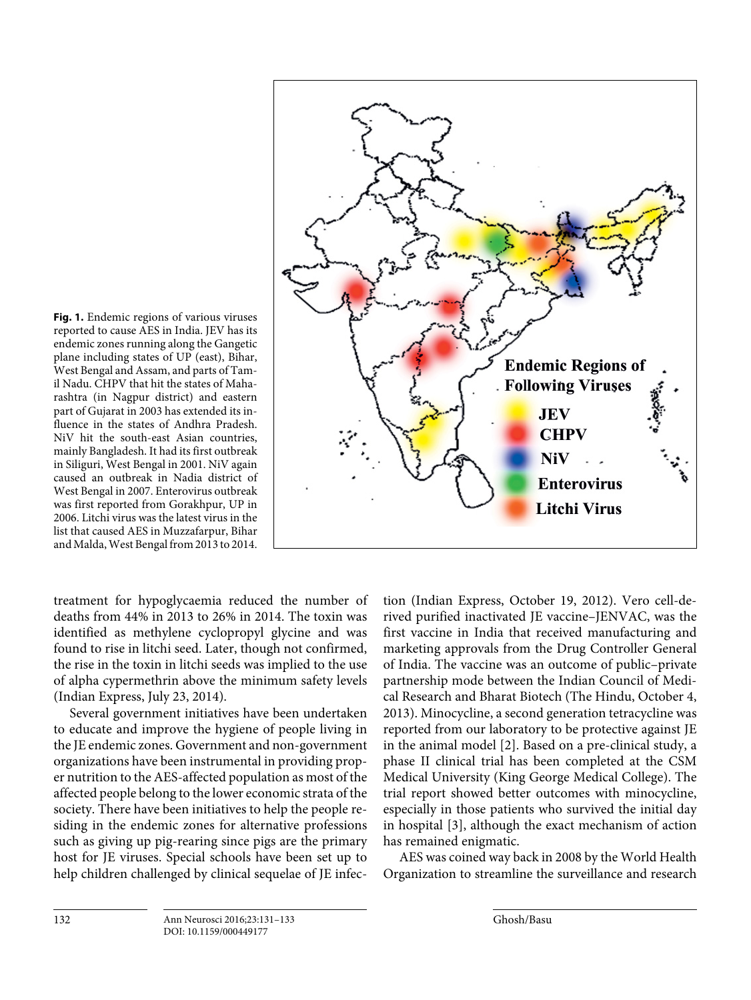

**Fig. 1.** Endemic regions of various viruses reported to cause AES in India. JEV has its endemic zones running along the Gangetic plane including states of UP (east), Bihar, West Bengal and Assam, and parts of Tamil Nadu. CHPV that hit the states of Maharashtra (in Nagpur district) and eastern part of Gujarat in 2003 has extended its influence in the states of Andhra Pradesh. NiV hit the south-east Asian countries, mainly Bangladesh. It had its first outbreak in Siliguri, West Bengal in 2001. NiV again caused an outbreak in Nadia district of West Bengal in 2007. Enterovirus outbreak was first reported from Gorakhpur, UP in 2006. Litchi virus was the latest virus in the list that caused AES in Muzzafarpur, Bihar and Malda, West Bengal from 2013 to 2014.

treatment for hypoglycaemia reduced the number of deaths from 44% in 2013 to 26% in 2014. The toxin was identified as methylene cyclopropyl glycine and was found to rise in litchi seed. Later, though not confirmed, the rise in the toxin in litchi seeds was implied to the use of alpha cypermethrin above the minimum safety levels (Indian Express, July 23, 2014).

 Several government initiatives have been undertaken to educate and improve the hygiene of people living in the JE endemic zones. Government and non-government organizations have been instrumental in providing proper nutrition to the AES-affected population as most of the affected people belong to the lower economic strata of the society. There have been initiatives to help the people residing in the endemic zones for alternative professions such as giving up pig-rearing since pigs are the primary host for JE viruses. Special schools have been set up to help children challenged by clinical sequelae of JE infection (Indian Express, October 19, 2012). Vero cell-derived purified inactivated JE vaccine–JENVAC, was the first vaccine in India that received manufacturing and marketing approvals from the Drug Controller General of India. The vaccine was an outcome of public–private partnership mode between the Indian Council of Medical Research and Bharat Biotech (The Hindu, October 4, 2013). Minocycline, a second generation tetracycline was reported from our laboratory to be protective against JE in the animal model [2]. Based on a pre-clinical study, a phase II clinical trial has been completed at the CSM Medical University (King George Medical College). The trial report showed better outcomes with minocycline, especially in those patients who survived the initial day in hospital [3], although the exact mechanism of action has remained enigmatic.

 AES was coined way back in 2008 by the World Health Organization to streamline the surveillance and research